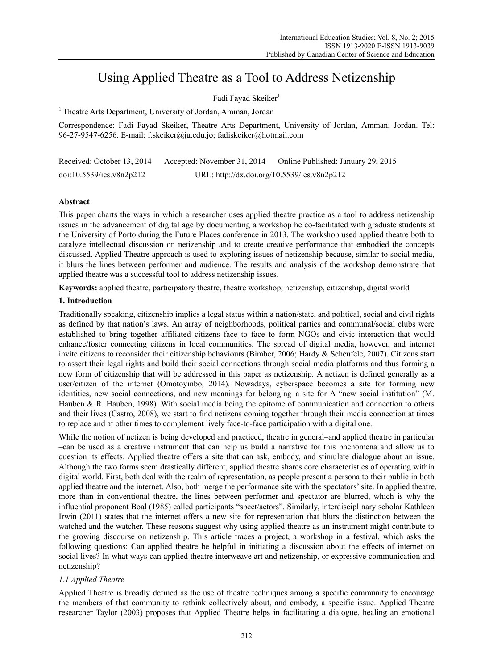# Using Applied Theatre as a Tool to Address Netizenship

Fadi Fayad Skeiker<sup>1</sup>

<sup>1</sup> Theatre Arts Department, University of Jordan, Amman, Jordan

Correspondence: Fadi Fayad Skeiker, Theatre Arts Department, University of Jordan, Amman, Jordan. Tel: 96-27-9547-6256. E-mail: f.skeiker@ju.edu.jo; fadiskeiker@hotmail.com

| Received: October 13, 2014 | Accepted: November 31, 2014                 | Online Published: January 29, 2015 |
|----------------------------|---------------------------------------------|------------------------------------|
| doi:10.5539/ies.v8n2p212   | URL: http://dx.doi.org/10.5539/ies.v8n2p212 |                                    |

# **Abstract**

This paper charts the ways in which a researcher uses applied theatre practice as a tool to address netizenship issues in the advancement of digital age by documenting a workshop he co-facilitated with graduate students at the University of Porto during the Future Places conference in 2013. The workshop used applied theatre both to catalyze intellectual discussion on netizenship and to create creative performance that embodied the concepts discussed. Applied Theatre approach is used to exploring issues of netizenship because, similar to social media, it blurs the lines between performer and audience. The results and analysis of the workshop demonstrate that applied theatre was a successful tool to address netizenship issues.

**Keywords:** applied theatre, participatory theatre, theatre workshop, netizenship, citizenship, digital world

# **1. Introduction**

Traditionally speaking, citizenship implies a legal status within a nation/state, and political, social and civil rights as defined by that nation's laws. An array of neighborhoods, political parties and communal/social clubs were established to bring together affiliated citizens face to face to form NGOs and civic interaction that would enhance/foster connecting citizens in local communities. The spread of digital media, however, and internet invite citizens to reconsider their citizenship behaviours (Bimber, 2006; Hardy & Scheufele, 2007). Citizens start to assert their legal rights and build their social connections through social media platforms and thus forming a new form of citizenship that will be addressed in this paper as netizenship. A netizen is defined generally as a user/citizen of the internet (Omotoyinbo, 2014). Nowadays, cyberspace becomes a site for forming new identities, new social connections, and new meanings for belonging–a site for A "new social institution" (M. Hauben & R. Hauben, 1998). With social media being the epitome of communication and connection to others and their lives (Castro, 2008), we start to find netizens coming together through their media connection at times to replace and at other times to complement lively face-to-face participation with a digital one.

While the notion of netizen is being developed and practiced, theatre in general–and applied theatre in particular –can be used as a creative instrument that can help us build a narrative for this phenomena and allow us to question its effects. Applied theatre offers a site that can ask, embody, and stimulate dialogue about an issue. Although the two forms seem drastically different, applied theatre shares core characteristics of operating within digital world. First, both deal with the realm of representation, as people present a persona to their public in both applied theatre and the internet. Also, both merge the performance site with the spectators' site. In applied theatre, more than in conventional theatre, the lines between performer and spectator are blurred, which is why the influential proponent Boal (1985) called participants "spect/actors". Similarly, interdisciplinary scholar Kathleen Irwin (2011) states that the internet offers a new site for representation that blurs the distinction between the watched and the watcher. These reasons suggest why using applied theatre as an instrument might contribute to the growing discourse on netizenship. This article traces a project, a workshop in a festival, which asks the following questions: Can applied theatre be helpful in initiating a discussion about the effects of internet on social lives? In what ways can applied theatre interweave art and netizenship, or expressive communication and netizenship?

# *1.1 Applied Theatre*

Applied Theatre is broadly defined as the use of theatre techniques among a specific community to encourage the members of that community to rethink collectively about, and embody, a specific issue. Applied Theatre researcher Taylor (2003) proposes that Applied Theatre helps in facilitating a dialogue, healing an emotional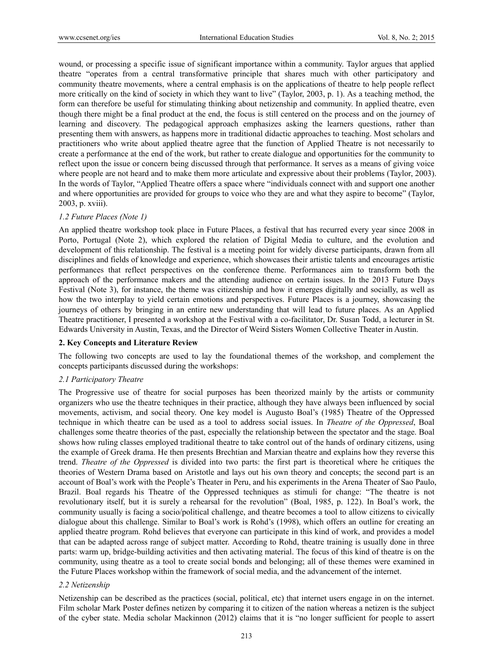wound, or processing a specific issue of significant importance within a community. Taylor argues that applied theatre "operates from a central transformative principle that shares much with other participatory and community theatre movements, where a central emphasis is on the applications of theatre to help people reflect more critically on the kind of society in which they want to live" (Taylor, 2003, p. 1). As a teaching method, the form can therefore be useful for stimulating thinking about netizenship and community. In applied theatre, even though there might be a final product at the end, the focus is still centered on the process and on the journey of learning and discovery. The pedagogical approach emphasizes asking the learners questions, rather than presenting them with answers, as happens more in traditional didactic approaches to teaching. Most scholars and practitioners who write about applied theatre agree that the function of Applied Theatre is not necessarily to create a performance at the end of the work, but rather to create dialogue and opportunities for the community to reflect upon the issue or concern being discussed through that performance. It serves as a means of giving voice where people are not heard and to make them more articulate and expressive about their problems (Taylor, 2003). In the words of Taylor, "Applied Theatre offers a space where "individuals connect with and support one another and where opportunities are provided for groups to voice who they are and what they aspire to become" (Taylor, 2003, p. xviii).

# *1.2 Future Places (Note 1)*

An applied theatre workshop took place in Future Places, a festival that has recurred every year since 2008 in Porto, Portugal (Note 2), which explored the relation of Digital Media to culture, and the evolution and development of this relationship. The festival is a meeting point for widely diverse participants, drawn from all disciplines and fields of knowledge and experience, which showcases their artistic talents and encourages artistic performances that reflect perspectives on the conference theme. Performances aim to transform both the approach of the performance makers and the attending audience on certain issues. In the 2013 Future Days Festival (Note 3), for instance, the theme was citizenship and how it emerges digitally and socially, as well as how the two interplay to yield certain emotions and perspectives. Future Places is a journey, showcasing the journeys of others by bringing in an entire new understanding that will lead to future places. As an Applied Theatre practitioner, I presented a workshop at the Festival with a co-facilitator, Dr. Susan Todd, a lecturer in St. Edwards University in Austin, Texas, and the Director of Weird Sisters Women Collective Theater in Austin.

## **2. Key Concepts and Literature Review**

The following two concepts are used to lay the foundational themes of the workshop, and complement the concepts participants discussed during the workshops:

## *2.1 Participatory Theatre*

The Progressive use of theatre for social purposes has been theorized mainly by the artists or community organizers who use the theatre techniques in their practice, although they have always been influenced by social movements, activism, and social theory. One key model is Augusto Boal's (1985) Theatre of the Oppressed technique in which theatre can be used as a tool to address social issues. In *Theatre of the Oppressed*, Boal challenges some theatre theories of the past, especially the relationship between the spectator and the stage. Boal shows how ruling classes employed traditional theatre to take control out of the hands of ordinary citizens, using the example of Greek drama. He then presents Brechtian and Marxian theatre and explains how they reverse this trend. *Theatre of the Oppressed* is divided into two parts: the first part is theoretical where he critiques the theories of Western Drama based on Aristotle and lays out his own theory and concepts; the second part is an account of Boal's work with the People's Theater in Peru, and his experiments in the Arena Theater of Sao Paulo, Brazil. Boal regards his Theatre of the Oppressed techniques as stimuli for change: "The theatre is not revolutionary itself, but it is surely a rehearsal for the revolution" (Boal, 1985, p. 122). In Boal's work, the community usually is facing a socio/political challenge, and theatre becomes a tool to allow citizens to civically dialogue about this challenge. Similar to Boal's work is Rohd's (1998), which offers an outline for creating an applied theatre program. Rohd believes that everyone can participate in this kind of work, and provides a model that can be adapted across range of subject matter. According to Rohd, theatre training is usually done in three parts: warm up, bridge-building activities and then activating material. The focus of this kind of theatre is on the community, using theatre as a tool to create social bonds and belonging; all of these themes were examined in the Future Places workshop within the framework of social media, and the advancement of the internet.

## *2.2 Netizenship*

Netizenship can be described as the practices (social, political, etc) that internet users engage in on the internet. Film scholar Mark Poster defines netizen by comparing it to citizen of the nation whereas a netizen is the subject of the cyber state. Media scholar Mackinnon (2012) claims that it is "no longer sufficient for people to assert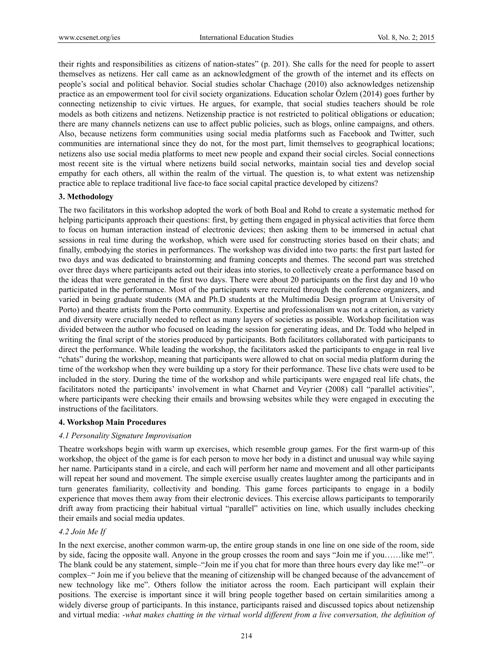their rights and responsibilities as citizens of nation-states" (p. 201). She calls for the need for people to assert themselves as netizens. Her call came as an acknowledgment of the growth of the internet and its effects on people's social and political behavior. Social studies scholar Chachage (2010) also acknowledges netizenship practice as an empowerment tool for civil society organizations. Education scholar Özlem (2014) goes further by connecting netizenship to civic virtues. He argues, for example, that social studies teachers should be role models as both citizens and netizens. Netizenship practice is not restricted to political obligations or education; there are many channels netizens can use to affect public policies, such as blogs, online campaigns, and others. Also, because netizens form communities using social media platforms such as Facebook and Twitter, such communities are international since they do not, for the most part, limit themselves to geographical locations; netizens also use social media platforms to meet new people and expand their social circles. Social connections most recent site is the virtual where netizens build social networks, maintain social ties and develop social empathy for each others, all within the realm of the virtual. The question is, to what extent was netizenship practice able to replace traditional live face-to face social capital practice developed by citizens?

#### **3. Methodology**

The two facilitators in this workshop adopted the work of both Boal and Rohd to create a systematic method for helping participants approach their questions: first, by getting them engaged in physical activities that force them to focus on human interaction instead of electronic devices; then asking them to be immersed in actual chat sessions in real time during the workshop, which were used for constructing stories based on their chats; and finally, embodying the stories in performances. The workshop was divided into two parts: the first part lasted for two days and was dedicated to brainstorming and framing concepts and themes. The second part was stretched over three days where participants acted out their ideas into stories, to collectively create a performance based on the ideas that were generated in the first two days. There were about 20 participants on the first day and 10 who participated in the performance. Most of the participants were recruited through the conference organizers, and varied in being graduate students (MA and Ph.D students at the Multimedia Design program at University of Porto) and theatre artists from the Porto community. Expertise and professionalism was not a criterion, as variety and diversity were crucially needed to reflect as many layers of societies as possible. Workshop facilitation was divided between the author who focused on leading the session for generating ideas, and Dr. Todd who helped in writing the final script of the stories produced by participants. Both facilitators collaborated with participants to direct the performance. While leading the workshop, the facilitators asked the participants to engage in real live "chats" during the workshop, meaning that participants were allowed to chat on social media platform during the time of the workshop when they were building up a story for their performance. These live chats were used to be included in the story. During the time of the workshop and while participants were engaged real life chats, the facilitators noted the participants' involvement in what Charnet and Veyrier (2008) call "parallel activities", where participants were checking their emails and browsing websites while they were engaged in executing the instructions of the facilitators.

#### **4. Workshop Main Procedures**

#### *4.1 Personality Signature Improvisation*

Theatre workshops begin with warm up exercises, which resemble group games. For the first warm-up of this workshop, the object of the game is for each person to move her body in a distinct and unusual way while saying her name. Participants stand in a circle, and each will perform her name and movement and all other participants will repeat her sound and movement. The simple exercise usually creates laughter among the participants and in turn generates familiarity, collectivity and bonding. This game forces participants to engage in a bodily experience that moves them away from their electronic devices. This exercise allows participants to temporarily drift away from practicing their habitual virtual "parallel" activities on line, which usually includes checking their emails and social media updates.

## *4.2 Join Me If*

In the next exercise, another common warm-up, the entire group stands in one line on one side of the room, side by side, facing the opposite wall. Anyone in the group crosses the room and says "Join me if you……like me!". The blank could be any statement, simple–"Join me if you chat for more than three hours every day like me!"–or complex–" Join me if you believe that the meaning of citizenship will be changed because of the advancement of new technology like me". Others follow the initiator across the room. Each participant will explain their positions. The exercise is important since it will bring people together based on certain similarities among a widely diverse group of participants. In this instance, participants raised and discussed topics about netizenship and virtual media: *-what makes chatting in the virtual world different from a live conversation, the definition of*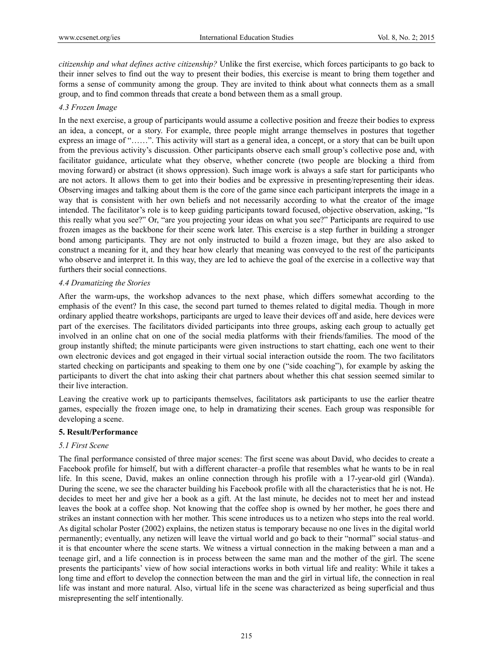*citizenship and what defines active citizenship?* Unlike the first exercise, which forces participants to go back to their inner selves to find out the way to present their bodies, this exercise is meant to bring them together and forms a sense of community among the group. They are invited to think about what connects them as a small group, and to find common threads that create a bond between them as a small group.

## *4.3 Frozen Image*

In the next exercise, a group of participants would assume a collective position and freeze their bodies to express an idea, a concept, or a story. For example, three people might arrange themselves in postures that together express an image of "……". This activity will start as a general idea, a concept, or a story that can be built upon from the previous activity's discussion. Other participants observe each small group's collective pose and, with facilitator guidance, articulate what they observe, whether concrete (two people are blocking a third from moving forward) or abstract (it shows oppression). Such image work is always a safe start for participants who are not actors. It allows them to get into their bodies and be expressive in presenting/representing their ideas. Observing images and talking about them is the core of the game since each participant interprets the image in a way that is consistent with her own beliefs and not necessarily according to what the creator of the image intended. The facilitator's role is to keep guiding participants toward focused, objective observation, asking, "Is this really what you see?" Or, "are you projecting your ideas on what you see?" Participants are required to use frozen images as the backbone for their scene work later. This exercise is a step further in building a stronger bond among participants. They are not only instructed to build a frozen image, but they are also asked to construct a meaning for it, and they hear how clearly that meaning was conveyed to the rest of the participants who observe and interpret it. In this way, they are led to achieve the goal of the exercise in a collective way that furthers their social connections.

## *4.4 Dramatizing the Stories*

After the warm-ups, the workshop advances to the next phase, which differs somewhat according to the emphasis of the event? In this case, the second part turned to themes related to digital media. Though in more ordinary applied theatre workshops, participants are urged to leave their devices off and aside, here devices were part of the exercises. The facilitators divided participants into three groups, asking each group to actually get involved in an online chat on one of the social media platforms with their friends/families. The mood of the group instantly shifted; the minute participants were given instructions to start chatting, each one went to their own electronic devices and got engaged in their virtual social interaction outside the room. The two facilitators started checking on participants and speaking to them one by one ("side coaching"), for example by asking the participants to divert the chat into asking their chat partners about whether this chat session seemed similar to their live interaction.

Leaving the creative work up to participants themselves, facilitators ask participants to use the earlier theatre games, especially the frozen image one, to help in dramatizing their scenes. Each group was responsible for developing a scene.

# **5. Result/Performance**

## *5.1 First Scene*

The final performance consisted of three major scenes: The first scene was about David, who decides to create a Facebook profile for himself, but with a different character–a profile that resembles what he wants to be in real life. In this scene, David, makes an online connection through his profile with a 17-year-old girl (Wanda). During the scene, we see the character building his Facebook profile with all the characteristics that he is not. He decides to meet her and give her a book as a gift. At the last minute, he decides not to meet her and instead leaves the book at a coffee shop. Not knowing that the coffee shop is owned by her mother, he goes there and strikes an instant connection with her mother. This scene introduces us to a netizen who steps into the real world. As digital scholar Poster (2002) explains, the netizen status is temporary because no one lives in the digital world permanently; eventually, any netizen will leave the virtual world and go back to their "normal" social status–and it is that encounter where the scene starts. We witness a virtual connection in the making between a man and a teenage girl, and a life connection is in process between the same man and the mother of the girl. The scene presents the participants' view of how social interactions works in both virtual life and reality: While it takes a long time and effort to develop the connection between the man and the girl in virtual life, the connection in real life was instant and more natural. Also, virtual life in the scene was characterized as being superficial and thus misrepresenting the self intentionally.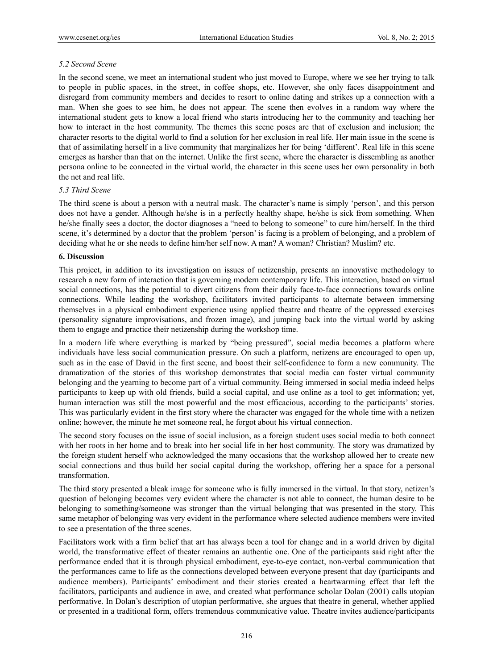## *5.2 Second Scene*

In the second scene, we meet an international student who just moved to Europe, where we see her trying to talk to people in public spaces, in the street, in coffee shops, etc. However, she only faces disappointment and disregard from community members and decides to resort to online dating and strikes up a connection with a man. When she goes to see him, he does not appear. The scene then evolves in a random way where the international student gets to know a local friend who starts introducing her to the community and teaching her how to interact in the host community. The themes this scene poses are that of exclusion and inclusion; the character resorts to the digital world to find a solution for her exclusion in real life. Her main issue in the scene is that of assimilating herself in a live community that marginalizes her for being 'different'. Real life in this scene emerges as harsher than that on the internet. Unlike the first scene, where the character is dissembling as another persona online to be connected in the virtual world, the character in this scene uses her own personality in both the net and real life.

## *5.3 Third Scene*

The third scene is about a person with a neutral mask. The character's name is simply 'person', and this person does not have a gender. Although he/she is in a perfectly healthy shape, he/she is sick from something. When he/she finally sees a doctor, the doctor diagnoses a "need to belong to someone" to cure him/herself. In the third scene, it's determined by a doctor that the problem 'person' is facing is a problem of belonging, and a problem of deciding what he or she needs to define him/her self now. A man? A woman? Christian? Muslim? etc.

## **6. Discussion**

This project, in addition to its investigation on issues of netizenship, presents an innovative methodology to research a new form of interaction that is governing modern contemporary life. This interaction, based on virtual social connections, has the potential to divert citizens from their daily face-to-face connections towards online connections. While leading the workshop, facilitators invited participants to alternate between immersing themselves in a physical embodiment experience using applied theatre and theatre of the oppressed exercises (personality signature improvisations, and frozen image), and jumping back into the virtual world by asking them to engage and practice their netizenship during the workshop time.

In a modern life where everything is marked by "being pressured", social media becomes a platform where individuals have less social communication pressure. On such a platform, netizens are encouraged to open up, such as in the case of David in the first scene, and boost their self-confidence to form a new community. The dramatization of the stories of this workshop demonstrates that social media can foster virtual community belonging and the yearning to become part of a virtual community. Being immersed in social media indeed helps participants to keep up with old friends, build a social capital, and use online as a tool to get information; yet, human interaction was still the most powerful and the most efficacious, according to the participants' stories. This was particularly evident in the first story where the character was engaged for the whole time with a netizen online; however, the minute he met someone real, he forgot about his virtual connection.

The second story focuses on the issue of social inclusion, as a foreign student uses social media to both connect with her roots in her home and to break into her social life in her host community. The story was dramatized by the foreign student herself who acknowledged the many occasions that the workshop allowed her to create new social connections and thus build her social capital during the workshop, offering her a space for a personal transformation.

The third story presented a bleak image for someone who is fully immersed in the virtual. In that story, netizen's question of belonging becomes very evident where the character is not able to connect, the human desire to be belonging to something/someone was stronger than the virtual belonging that was presented in the story. This same metaphor of belonging was very evident in the performance where selected audience members were invited to see a presentation of the three scenes.

Facilitators work with a firm belief that art has always been a tool for change and in a world driven by digital world, the transformative effect of theater remains an authentic one. One of the participants said right after the performance ended that it is through physical embodiment, eye-to-eye contact, non-verbal communication that the performances came to life as the connections developed between everyone present that day (participants and audience members). Participants' embodiment and their stories created a heartwarming effect that left the facilitators, participants and audience in awe, and created what performance scholar Dolan (2001) calls utopian performative. In Dolan's description of utopian performative, she argues that theatre in general, whether applied or presented in a traditional form, offers tremendous communicative value. Theatre invites audience/participants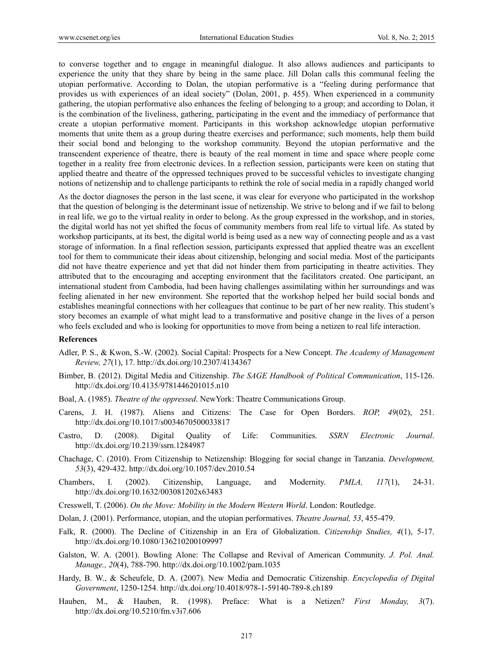to converse together and to engage in meaningful dialogue. It also allows audiences and participants to experience the unity that they share by being in the same place. Jill Dolan calls this communal feeling the utopian performative. According to Dolan, the utopian performative is a "feeling during performance that provides us with experiences of an ideal society" (Dolan, 2001, p. 455). When experienced in a community gathering, the utopian performative also enhances the feeling of belonging to a group; and according to Dolan, it is the combination of the liveliness, gathering, participating in the event and the immediacy of performance that create a utopian performative moment. Participants in this workshop acknowledge utopian performative moments that unite them as a group during theatre exercises and performance; such moments, help them build their social bond and belonging to the workshop community. Beyond the utopian performative and the transcendent experience of theatre, there is beauty of the real moment in time and space where people come together in a reality free from electronic devices. In a reflection session, participants were keen on stating that applied theatre and theatre of the oppressed techniques proved to be successful vehicles to investigate changing notions of netizenship and to challenge participants to rethink the role of social media in a rapidly changed world

As the doctor diagnoses the person in the last scene, it was clear for everyone who participated in the workshop that the question of belonging is the determinant issue of netizenship. We strive to belong and if we fail to belong in real life, we go to the virtual reality in order to belong. As the group expressed in the workshop, and in stories, the digital world has not yet shifted the focus of community members from real life to virtual life. As stated by workshop participants, at its best, the digital world is being used as a new way of connecting people and as a vast storage of information. In a final reflection session, participants expressed that applied theatre was an excellent tool for them to communicate their ideas about citizenship, belonging and social media. Most of the participants did not have theatre experience and yet that did not hinder them from participating in theatre activities. They attributed that to the encouraging and accepting environment that the facilitators created. One participant, an international student from Cambodia, had been having challenges assimilating within her surroundings and was feeling alienated in her new environment. She reported that the workshop helped her build social bonds and establishes meaningful connections with her colleagues that continue to be part of her new reality. This student's story becomes an example of what might lead to a transformative and positive change in the lives of a person who feels excluded and who is looking for opportunities to move from being a netizen to real life interaction.

#### **References**

- Adler, P. S., & Kwon, S.-W. (2002). Social Capital: Prospects for a New Concept. *The Academy of Management Review, 27*(1), 17. http://dx.doi.org/10.2307/4134367
- Bimber, B. (2012). Digital Media and Citizenship. *The SAGE Handbook of Political Communication*, 115-126. http://dx.doi.org/10.4135/9781446201015.n10
- Boal, A. (1985). *Theatre of the oppressed*. NewYork: Theatre Communications Group.
- Carens, J. H. (1987). Aliens and Citizens: The Case for Open Borders. *ROP, 49*(02), 251. http://dx.doi.org/10.1017/s0034670500033817
- Castro, D. (2008). Digital Quality of Life: Communities. *SSRN Electronic Journal*. http://dx.doi.org/10.2139/ssrn.1284987
- Chachage, C. (2010). From Citizenship to Netizenship: Blogging for social change in Tanzania. *Development, 53*(3), 429-432. http://dx.doi.org/10.1057/dev.2010.54
- Chambers, I. (2002). Citizenship, Language, and Modernity. *PMLA, 117*(1), 24-31. http://dx.doi.org/10.1632/003081202x63483
- Cresswell, T. (2006). *On the Move: Mobility in the Modern Western World*. London: Routledge.
- Dolan, J. (2001). Performance, utopian, and the utopian performatives. *Theatre Journal, 53*, 455-479.
- Falk, R. (2000). The Decline of Citizenship in an Era of Globalization. *Citizenship Studies, 4*(1), 5-17. http://dx.doi.org/10.1080/136210200109997
- Galston, W. A. (2001). Bowling Alone: The Collapse and Revival of American Community. *J. Pol. Anal. Manage., 20*(4), 788-790. http://dx.doi.org/10.1002/pam.1035
- Hardy, B. W., & Scheufele, D. A. (2007). New Media and Democratic Citizenship. *Encyclopedia of Digital Government*, 1250-1254. http://dx.doi.org/10.4018/978-1-59140-789-8.ch189
- Hauben, M., & Hauben, R. (1998). Preface: What is a Netizen? *First Monday, 3*(7). http://dx.doi.org/10.5210/fm.v3i7.606